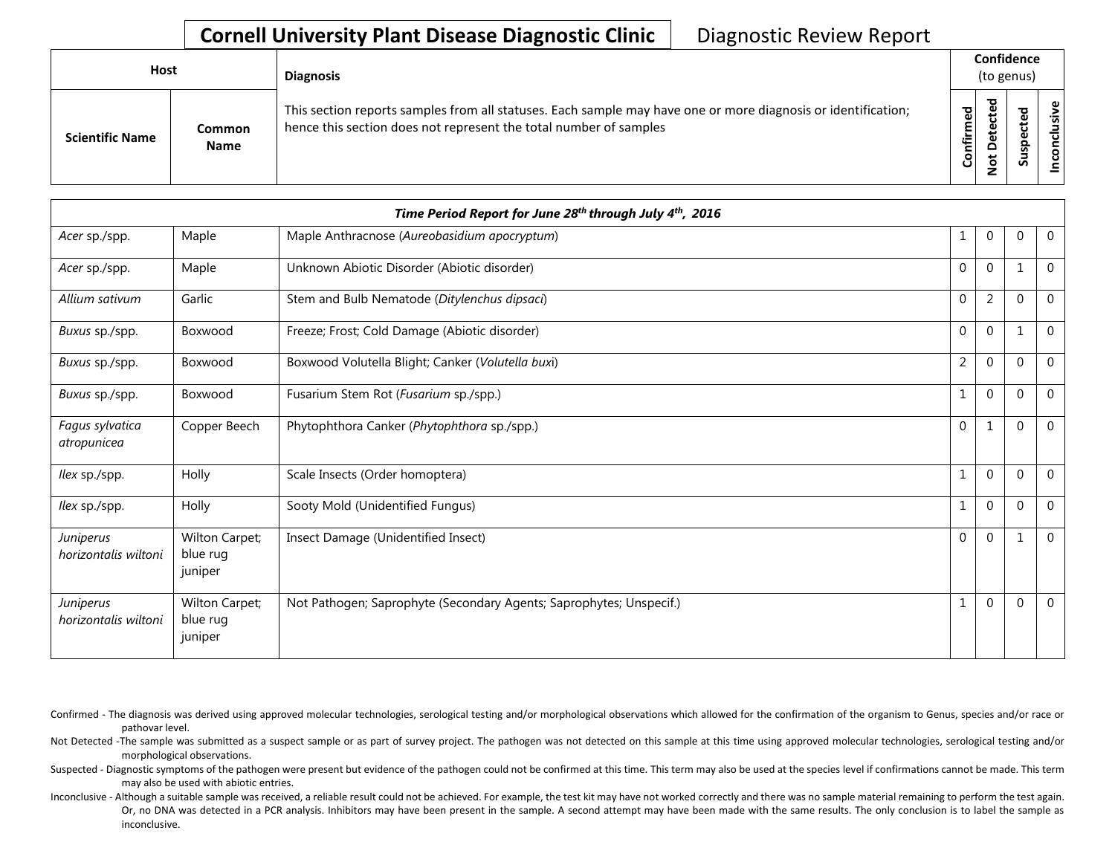## **Cornell University Plant Disease Diagnostic Clinic** | Diagnostic Review Report

| Host                   |                       | <b>Diagnosis</b>                                                                                                                                                                   |           | Confidence<br>(to genus) |        |                         |
|------------------------|-----------------------|------------------------------------------------------------------------------------------------------------------------------------------------------------------------------------|-----------|--------------------------|--------|-------------------------|
| <b>Scientific Name</b> | Common<br><b>Name</b> | This section reports samples from all statuses. Each sample may have one or more diagnosis or identification;<br>hence this section does not represent the total number of samples | Confirmed | ᇃ<br>≏                   | w<br>n | e.<br>ē<br>᠊ᠣ<br>c<br>g |

|                                   |                                       | Time Period Report for June 28th through July 4th, 2016             |                |                |          |                |
|-----------------------------------|---------------------------------------|---------------------------------------------------------------------|----------------|----------------|----------|----------------|
| Acer sp./spp.                     | Maple                                 | Maple Anthracnose (Aureobasidium apocryptum)                        | 1              | $\mathbf 0$    | $\Omega$ | $\overline{0}$ |
| Acer sp./spp.                     | Maple                                 | Unknown Abiotic Disorder (Abiotic disorder)                         | $\mathbf{0}$   | $\mathbf 0$    |          | $\mathbf 0$    |
| Allium sativum                    | Garlic                                | Stem and Bulb Nematode (Ditylenchus dipsaci)                        | $\mathbf{0}$   | $\overline{2}$ | $\Omega$ | $\mathbf 0$    |
| Buxus sp./spp.                    | Boxwood                               | Freeze; Frost; Cold Damage (Abiotic disorder)                       | $\mathbf{0}$   | $\mathbf 0$    |          | $\overline{0}$ |
| Buxus sp./spp.                    | Boxwood                               | Boxwood Volutella Blight; Canker (Volutella buxi)                   | $\overline{2}$ | $\mathbf 0$    | $\Omega$ | $\overline{0}$ |
| Buxus sp./spp.                    | Boxwood                               | Fusarium Stem Rot (Fusarium sp./spp.)                               | 1              | $\mathbf 0$    | $\Omega$ | $\overline{0}$ |
| Fagus sylvatica<br>atropunicea    | Copper Beech                          | Phytophthora Canker (Phytophthora sp./spp.)                         | $\mathbf{0}$   | 1              | $\Omega$ | $\mathbf 0$    |
| llex sp./spp.                     | Holly                                 | Scale Insects (Order homoptera)                                     | 1              | $\mathbf 0$    | $\Omega$ | $\overline{0}$ |
| llex sp./spp.                     | Holly                                 | Sooty Mold (Unidentified Fungus)                                    | 1              | $\mathbf 0$    | $\Omega$ | $\overline{0}$ |
| Juniperus<br>horizontalis wiltoni | Wilton Carpet;<br>blue rug<br>juniper | Insect Damage (Unidentified Insect)                                 | $\mathbf 0$    | $\mathbf 0$    |          | $\overline{0}$ |
| Juniperus<br>horizontalis wiltoni | Wilton Carpet;<br>blue rug<br>juniper | Not Pathogen; Saprophyte (Secondary Agents; Saprophytes; Unspecif.) | 1              | $\mathbf 0$    | $\Omega$ | $\overline{0}$ |

Confirmed - The diagnosis was derived using approved molecular technologies, serological testing and/or morphological observations which allowed for the confirmation of the organism to Genus, species and/or race or pathovar level.

Not Detected -The sample was submitted as a suspect sample or as part of survey project. The pathogen was not detected on this sample at this time using approved molecular technologies, serological testing and/or morphological observations.

Suspected - Diagnostic symptoms of the pathogen were present but evidence of the pathogen could not be confirmed at this time. This term may also be used at the species level if confirmations cannot be made. This term may also be used with abiotic entries.

Inconclusive - Although a suitable sample was received, a reliable result could not be achieved. For example, the test kit may have not worked correctly and there was no sample material remaining to perform the test again. Or, no DNA was detected in a PCR analysis. Inhibitors may have been present in the sample. A second attempt may have been made with the same results. The only conclusion is to label the sample as inconclusive.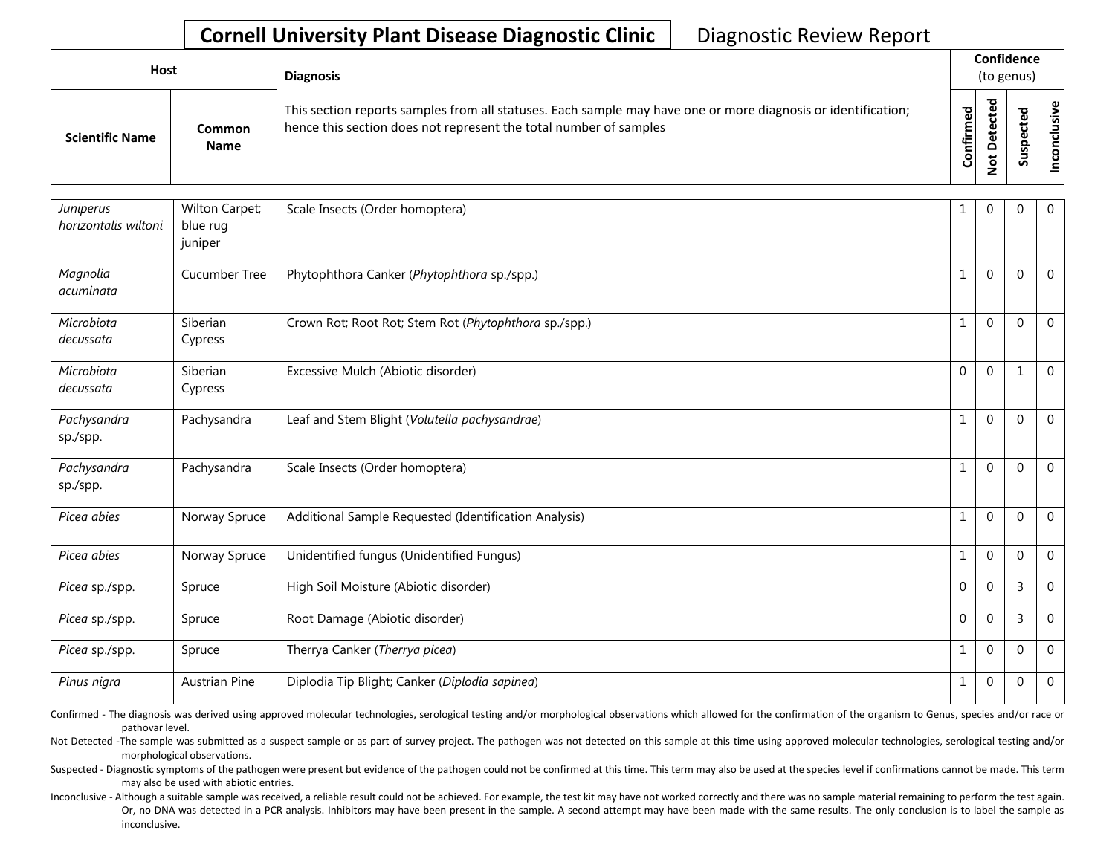## **Cornell University Plant Disease Diagnostic Clinic** | Diagnostic Review Report

| Host                   |                              | <b>Diagnosis</b>                                                                                                                                                                   |           | Confidence<br>(to genus)           |             |       |
|------------------------|------------------------------|------------------------------------------------------------------------------------------------------------------------------------------------------------------------------------|-----------|------------------------------------|-------------|-------|
| <b>Scientific Name</b> | <b>Common</b><br><b>Name</b> | This section reports samples from all statuses. Each sample may have one or more diagnosis or identification;<br>hence this section does not represent the total number of samples | Confirmed | ъ<br>ں<br>$\Omega$<br>پ<br>$\circ$ | ਠ<br>S<br>n | ∟ ہے. |

| Juniperus<br>horizontalis wiltoni | Wilton Carpet;<br>blue rug<br>juniper | Scale Insects (Order homoptera)                       | 1            | $\mathbf{0}$ | $\mathbf{0}$ | $\mathbf{0}$ |
|-----------------------------------|---------------------------------------|-------------------------------------------------------|--------------|--------------|--------------|--------------|
| Magnolia<br>acuminata             | Cucumber Tree                         | Phytophthora Canker (Phytophthora sp./spp.)           | $\mathbf 1$  | $\mathbf 0$  | $\Omega$     | $\mathbf 0$  |
| Microbiota<br>decussata           | Siberian<br>Cypress                   | Crown Rot; Root Rot; Stem Rot (Phytophthora sp./spp.) | $\mathbf{1}$ | $\mathbf{0}$ | $\Omega$     | $\mathbf 0$  |
| Microbiota<br>decussata           | Siberian<br>Cypress                   | Excessive Mulch (Abiotic disorder)                    | $\mathbf 0$  | $\Omega$     | $\mathbf{1}$ | $\mathbf 0$  |
| Pachysandra<br>sp./spp.           | Pachysandra                           | Leaf and Stem Blight (Volutella pachysandrae)         | $\mathbf{1}$ | $\mathbf 0$  | $\mathbf{0}$ | $\mathbf 0$  |
| Pachysandra<br>sp./spp.           | Pachysandra                           | Scale Insects (Order homoptera)                       | $\mathbf{1}$ | $\mathbf{0}$ | $\Omega$     | $\mathbf 0$  |
| Picea abies                       | Norway Spruce                         | Additional Sample Requested (Identification Analysis) | $\mathbf{1}$ | $\mathbf 0$  | $\Omega$     | $\mathbf 0$  |
| Picea abies                       | Norway Spruce                         | Unidentified fungus (Unidentified Fungus)             | $1\,$        | $\mathbf 0$  | $\mathbf{0}$ | $\mathbf{0}$ |
| Picea sp./spp.                    | Spruce                                | High Soil Moisture (Abiotic disorder)                 | $\mathbf 0$  | $\mathbf 0$  | 3            | $\mathbf 0$  |
| Picea sp./spp.                    | Spruce                                | Root Damage (Abiotic disorder)                        | $\mathbf 0$  | $\mathbf 0$  | 3            | $\mathbf 0$  |
| Picea sp./spp.                    | Spruce                                | Therrya Canker (Therrya picea)                        | $\mathbf{1}$ | $\mathbf{0}$ | $\Omega$     | $\mathbf 0$  |
| Pinus nigra                       | <b>Austrian Pine</b>                  | Diplodia Tip Blight; Canker (Diplodia sapinea)        | $\mathbf 1$  | $\mathbf{0}$ | 0            | $\mathbf{0}$ |

Confirmed - The diagnosis was derived using approved molecular technologies, serological testing and/or morphological observations which allowed for the confirmation of the organism to Genus, species and/or race or pathovar level.

Not Detected -The sample was submitted as a suspect sample or as part of survey project. The pathogen was not detected on this sample at this time using approved molecular technologies, serological testing and/or morphological observations.

Suspected - Diagnostic symptoms of the pathogen were present but evidence of the pathogen could not be confirmed at this time. This term may also be used at the species level if confirmations cannot be made. This term may also be used with abiotic entries.

Inconclusive - Although a suitable sample was received, a reliable result could not be achieved. For example, the test kit may have not worked correctly and there was no sample material remaining to perform the test again. Or, no DNA was detected in a PCR analysis. Inhibitors may have been present in the sample. A second attempt may have been made with the same results. The only conclusion is to label the sample as inconclusive.